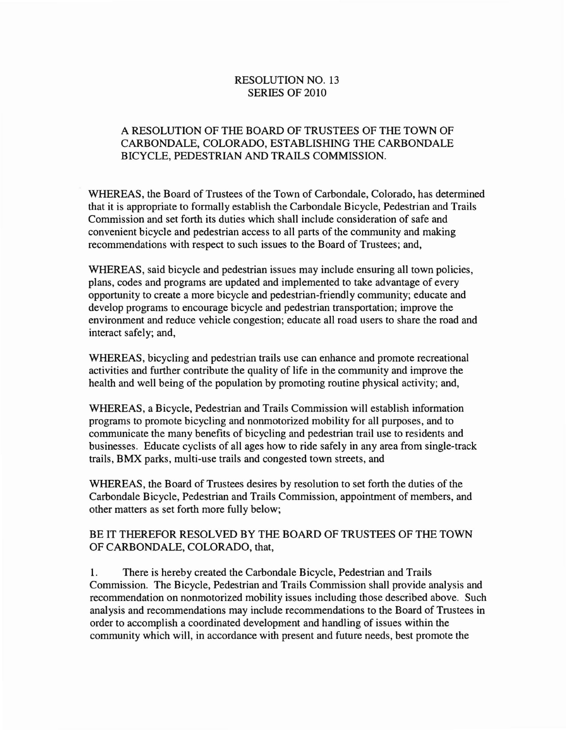## RESOLUTION NO. 13 SERIES OF 2010

## A RESOLUTION OF THE BOARD OF TRUSTEES OF THE TOWN OF CARBONDALE, COLORADO, ESTABLISHING THE CARBONDALE BICYCLE, PEDESTRIAN AND TRAILS COMMISSION.

WHEREAS, the Board of Trustees of the Town of Carbondale, Colorado, has determined that it is appropriate to formally establish the Carbondale Bicycle, Pedestrian and Trails Commission and set forth its duties which shall include consideration of safe and convenient bicycle and pedestrian access to all parts of the community and making recommendations with respect to such issues to the Board of Trustees; and,

WHEREAS, said bicycle and pedestrian issues may include ensuring all town policies, plans, codes and programs are updated and implemented to take advantage of every opportunity to create a more bicycle and pedestrian-friendly community; educate and develop programs to encourage bicycle and pedestrian transportation; improve the environment and reduce vehicle congestion; educate all road users to share the road and interact safely; and,

WHEREAS, bicycling and pedestrian trails use can enhance and promote recreational activities and further contribute the quality of life in the community and improve the health and well being of the population by promoting routine physical activity; and,

WHEREAS, a Bicycle, Pedestrian and Trails Commission will establish information programs to promote bicycling and nonmotorized mobility for all purposes, and to communicate the many benefits of bicycling and pedestrian trail use to residents and businesses. Educate cyclists of all ages how to ride safely in any area from single-track trails, BMX parks, multi-use trails and congested town streets, and

WHEREAS, the Board of Trustees desires by resolution to set forth the duties of the Carbondale Bicycle, Pedestrian and Trails Commission, appointment of members, and other matters as set forth more fully below;

## BE IT THEREFOR RESOLVED BY THE BOARD OF TRUSTEES OF THE TOWN OF CARBONDALE, COLORADO, that,

1. There is hereby created the Carbondale Bicycle, Pedestrian and Trails Commission. The Bicycle, Pedestrian and Trails Commission shall provide analysis and recommendation on nonmotorized mobility issues including those described above. Such analysis and recommendations may include recommendations to the Board of Trustees in order to accomplish a coordinated development and handling of issues within the community which will, in accordance with present and future needs, best promote the